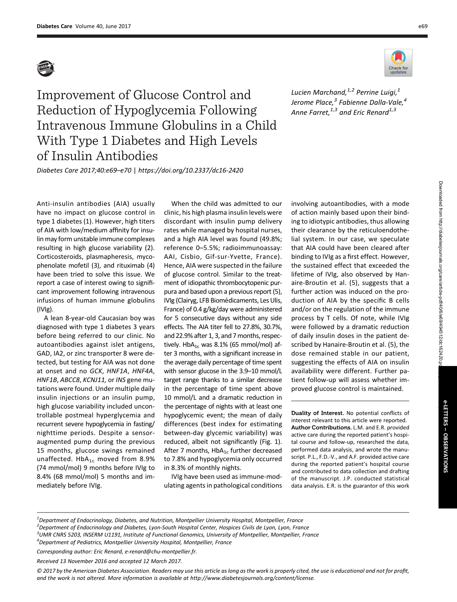

Improvement of Glucose Control and Reduction of Hypoglycemia Following Intravenous Immune Globulins in a Child With Type 1 Diabetes and High Levels of Insulin Antibodies Lucien Marchand, $1/2$  Perrine Luigi, $1/2$ Jerome Place,<sup>3</sup> Fabienne Dalla-Vale,<sup>4</sup> Anne Farret,  $1,3$  and Eric Renard  $1,3$ 

Diabetes Care 2017;40:e69–e70 | <https://doi.org/10.2337/dc16-2420>

Anti-insulin antibodies (AIA) usually have no impact on glucose control in type 1 diabetes (1). However, high titers of AIA with low/medium affinity for insulin may form unstable immune complexes resulting in high glucose variability (2). Corticosteroids, plasmapheresis, mycophenolate mofetil (3), and rituximab (4) have been tried to solve this issue. We report a case of interest owing to significant improvement following intravenous infusions of human immune globulins (IVIg).

A lean 8-year-old Caucasian boy was diagnosed with type 1 diabetes 3 years before being referred to our clinic. No autoantibodies against islet antigens, GAD, IA2, or zinc transporter 8 were detected, but testing for AIA was not done at onset and no GCK, HNF1A, HNF4A, HNF1B, ABCC8, KCNJ11, or INS gene mutations were found. Under multiple daily insulin injections or an insulin pump, high glucose variability included uncontrollable postmeal hyperglycemia and recurrent severe hypoglycemia in fasting/ nighttime periods. Despite a sensoraugmented pump during the previous 15 months, glucose swings remained unaffected.  $HbA_{1c}$  moved from 8.9% (74 mmol/mol) 9 months before IVIg to 8.4% (68 mmol/mol) 5 months and immediately before IVIg.

When the child was admitted to our clinic, his high plasma insulin levels were discordant with insulin pump delivery rates while managed by hospital nurses, and a high AIA level was found (49.8%; reference 0–5.5%; radioimmunoassay: AAI, Cisbio, Gif-sur-Yvette, France). Hence, AIA were suspected in the failure of glucose control. Similar to the treatment of idiopathic thrombocytopenic purpura and based upon a previous report (5), IVIg (Clairyg, LFB Biomédicaments, Les Ulis, France) of 0.4 g/kg/day were administered for 5 consecutive days without any side effects. The AIA titer fell to 27.8%, 30.7%, and 22.9% after 1, 3, and 7 months, respectively. HbA $_{1c}$  was 8.1% (65 mmol/mol) after 3 months, with a significant increase in the average daily percentage of time spent with sensor glucose in the 3.9–10 mmol/L target range thanks to a similar decrease in the percentage of time spent above 10 mmol/L and a dramatic reduction in the percentage of nights with at least one hypoglycemic event; the mean of daily differences (best index for estimating between-day glycemic variability) was reduced, albeit not significantly (Fig. 1). After 7 months,  $HbA_{1c}$  further decreased to 7.8% and hypoglycemia only occurred in 8.3% of monthly nights.

IVIg have been used as immune-modulating agents in pathological conditions involving autoantibodies, with a mode of action mainly based upon their binding to idiotypic antibodies, thus allowing their clearance by the reticuloendothelial system. In our case, we speculate that AIA could have been cleared after binding to IVIg as a first effect. However, the sustained effect that exceeded the lifetime of IVIg, also observed by Hanaire-Broutin et al. (5), suggests that a further action was induced on the production of AIA by the specific B cells and/or on the regulation of the immune process by T cells. Of note, while IVIg were followed by a dramatic reduction of daily insulin doses in the patient described by Hanaire-Broutin et al. (5), the dose remained stable in our patient, suggesting the effects of AIA on insulin availability were different. Further patient follow-up will assess whether improved glucose control is maintained.

Duality of Interest. No potential conflicts of interest relevant to this article were reported. Author Contributions. L.M. and E.R. provided active care during the reported patient's hospital course and follow-up, researched the data, performed data analysis, and wrote the manuscript. P.L., F.D.-V., and A.F. provided active care during the reported patient's hospital course and contributed to data collection and drafting of the manuscript. J.P. conducted statistical data analysis. E.R. is the guarantor of this work

 $^{\text{1}}$ Department of Endocrinology, Diabetes, and Nutrition, Montpellier University Hospital, Montpellier, France 2 Department of Endocrinology and Diabetes, Lyon-South Hospital Center, Hospices Civils de Lyon, Lyon, France 3 UMR CNRS 5203, INSERM U1191, Institute of Functional Genomics, University of Montpellier, Montpellier, France <sup>4</sup> Department of Pediatrics, Montpellier University Hospital, Montpellier, France

Corresponding author: Eric Renard, [e-renard@chu-montpellier.fr](mailto:e-renard@chu-montpellier.fr).

Received 13 November 2016 and accepted 12 March 2017.

© 2017 by the American Diabetes Association. Readers may use this article as long as the work is properly cited, the use is educational and not for profit, and the work is not altered. More information is available at [http://www.diabetesjournals.org/content/license.](http://www.diabetesjournals.org/content/license)